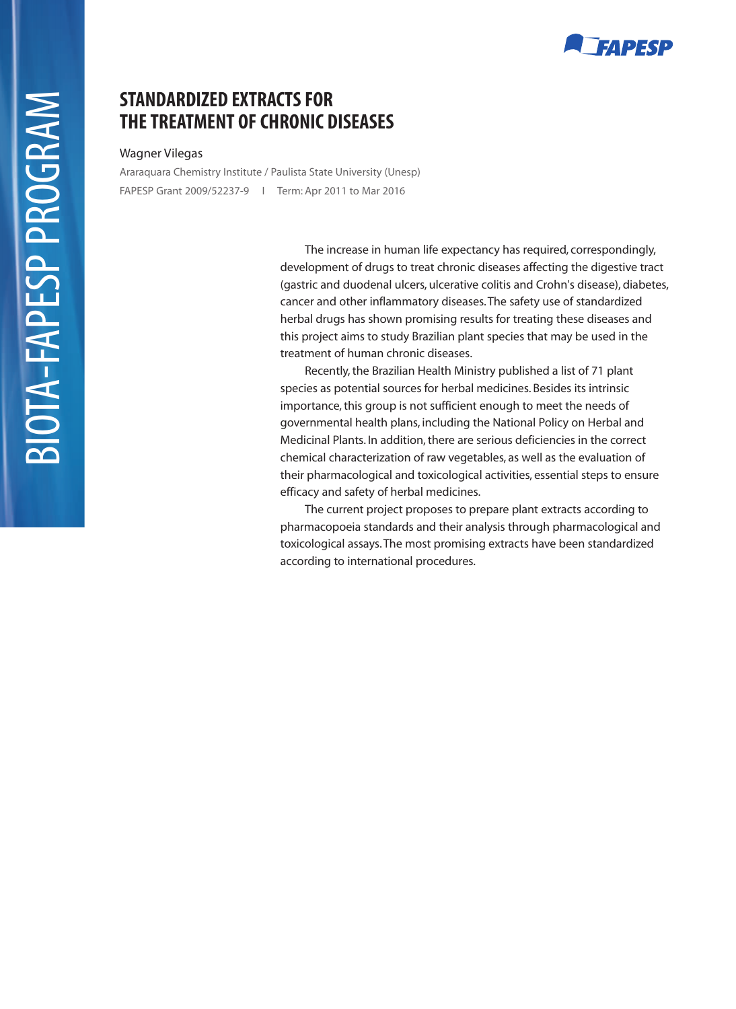# **FAPESP**

## **STANDARDIZED EXTRACTS FOR THE TREATMENT OF CHRONIC DISEASES**

### Wagner Vilegas

Araraquara Chemistry Institute / Paulista State University (Unesp) FAPESP Grant 2009/52237-9 I Term: Apr 2011 to Mar 2016

> The increase in human life expectancy has required, correspondingly, development of drugs to treat chronic diseases affecting the digestive tract (gastric and duodenal ulcers, ulcerative colitis and Crohn's disease), diabetes, cancer and other inflammatory diseases. The safety use of standardized herbal drugs has shown promising results for treating these diseases and this project aims to study Brazilian plant species that may be used in the treatment of human chronic diseases.

Recently, the Brazilian Health Ministry published a list of 71 plant species as potential sources for herbal medicines. Besides its intrinsic importance, this group is not sufficient enough to meet the needs of governmental health plans, including the National Policy on Herbal and Medicinal Plants. In addition, there are serious deficiencies in the correct chemical characterization of raw vegetables, as well as the evaluation of their pharmacological and toxicological activities, essential steps to ensure efficacy and safety of herbal medicines.

The current project proposes to prepare plant extracts according to pharmacopoeia standards and their analysis through pharmacological and toxicological assays. The most promising extracts have been standardized according to international procedures.